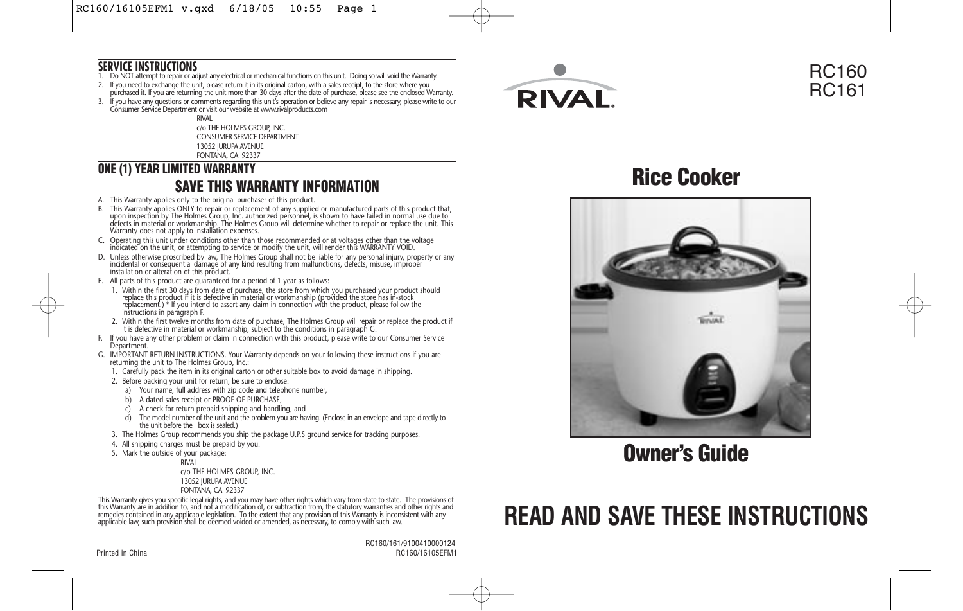### **SERVICE INSTRUCTIONS**

- 1. Do NOT attempt to repair or adjust any electrical or mechanical functions on this unit. Doing so will void the Warranty.
- 2. It you need to exchange the unit, please return it in its original carton, with a sales receipt, to the store where you<br>purchased it. If you are returning the unit more than 30 days after the date of purchase, please se
- 3. If you have any questions or comments regarding this unit's operation or believe any repair is necessary, please write to our<br>Consumer Service Department or visit our website at www.rivalproducts.com

RIVAL c/o THE HOLMES GROUP, INC. CONSUMER SERVICE DEPARTMENT 13052 JURUPA AVENUE FONTANA, CA 92337

### **ONE (1) YEAR LIMITED WARRANTY SAVE THIS WARRANTY INFORMATION**

- A. This Warranty applies only to the original purchaser of this product.
- B. This Warranty applies ONLY to repair or replacement of any supplied or manufactured parts of this product that,<br>upon inspection by The Holmes Group, Inc. authorized personnel, is shown to have failed in normal use due t
- C. Operating this unit under conditions other than those recommended or at voltages other than the voltage indicated on the unit, or attempting to service or modify the unit, will render this WARRANTY VOID.
- D. Unless otherwise proscribed by law, The Holmes Group shall not be liable for any personal injury, property or any<br>incidental or consequential damage of any kind resulting from malfunctions, defects, misuse, improper<br>ins
- E. All parts of this product are guaranteed for a period of 1 year as follows:
- 1. Within the first 30 days from date of purchase, the store from which you purchased your product should replace this product if it is defective in material or workmanship (provided the store has in-stock replacement.) \* If you intend to assert any claim in connection with the product, please follow the instructions in paragraph F.
- 2. Within the first twelve months from date of purchase, The Holmes Group will repair or replace the product if it is defective in material or workmanship, subject to the conditions in paragraph G.
- F. If you have any other problem or claim in connection with this product, please write to our Consumer Service Départment.
- G. IMPORTANT RETURN INSTRUCTIONS. Your Warranty depends on your following these instructions if you are returning the unit to The Holmes Group, Inc.:
	- 1. Carefully pack the item in its original carton or other suitable box to avoid damage in shipping.
	- 2. Before packing your unit for return, be sure to enclose:
		- a) Your name, full address with zip code and telephone number,
		- b) A dated sales receipt or PROOF OF PURCHASE,
		- c) A check for return prepaid shipping and handling, and
		- d) The model number of the unit and the problem you are having. (Enclose in an envelope and tape directly to the unit before the box is sealed.)
	- 3. The Holmes Group recommends you ship the package U.P.S ground service for tracking purposes.
	- 4. All shipping charges must be prepaid by you.
	- 5. Mark the outside of your package:

RIVAL c/o THE HOLMES GROUP, INC. 13052 JURUPA AVENUE FONTANA, CA 92337

This Warranty gives you specific legal rights, and you may have other rights which vary from state to state. The provisions of<br>this Warranty are in addition to, and not a modification of, or subtraction from, the statutory applicable law, such provision shall be deemed voided or amended, as necessary, to comply with such law.

 RC160/161/9100410000124 Printed in China RC160/16105EFM1



### RC160 RC161

**Rice Cooker**



**Owner's Guide**

# **READ AND SAVE THESE INSTRUCTIONS**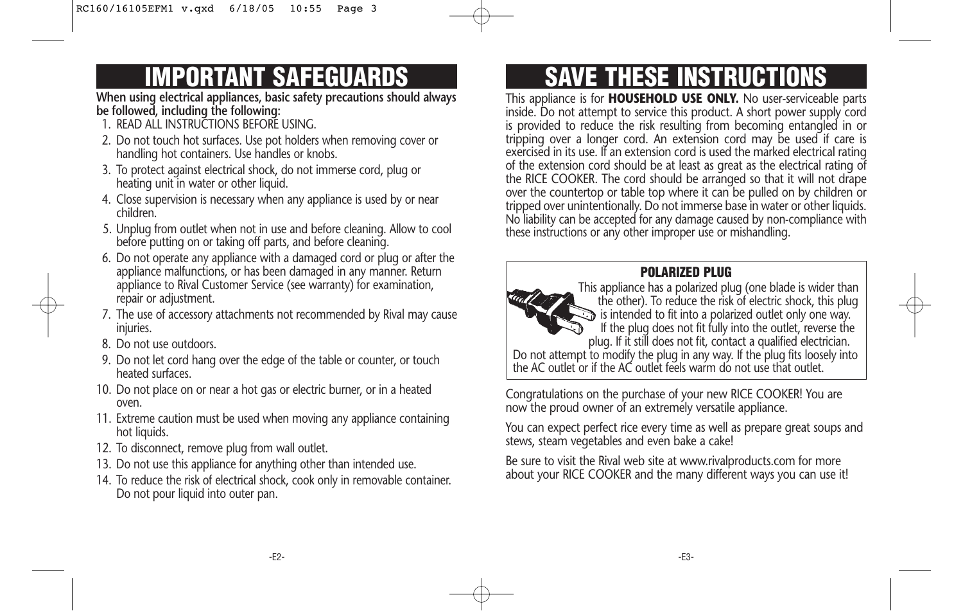# **IMPORTANT SAFEGUARDS**

**When using electrical appliances, basic safety precautions should always be followed, including the following:**

- 1. READ ALL INSTRUCTIONS BEFORE USING.
- 2. Do not touch hot surfaces. Use pot holders when removing cover or handling hot containers. Use handles or knobs.
- 3. To protect against electrical shock, do not immerse cord, plug or heating unit in water or other liquid.
- 4. Close supervision is necessary when any appliance is used by or near children.
- 5. Unplug from outlet when not in use and before cleaning. Allow to cool before putting on or taking off parts, and before cleaning.
- 6. Do not operate any appliance with a damaged cord or plug or after the appliance malfunctions, or has been damaged in any manner. Return appliance to Rival Customer Service (see warranty) for examination, repair or adjustment.
- 7. The use of accessory attachments not recommended by Rival may cause injuries.
- 8. Do not use outdoors.
- 9. Do not let cord hang over the edge of the table or counter, or touch heated surfaces.
- 10. Do not place on or near a hot gas or electric burner, or in a heated oven.
- 11. Extreme caution must be used when moving any appliance containing hot liquids.
- 12. To disconnect, remove plug from wall outlet.
- 13. Do not use this appliance for anything other than intended use.
- 14. To reduce the risk of electrical shock, cook only in removable container. Do not pour liquid into outer pan.

# **SAVE THESE INSTRUCTIONS**

This appliance is for **HOUSEHOLD USE ONLY.** No user-serviceable parts inside. Do not attempt to service this product. A short power supply cord is provided to reduce the risk resulting from becoming entangled in or tripping over a longer cord. An extension cord may be used if care is exercised in its use. If an extension cord is used the marked electrical rating of the extension cord should be at least as great as the electrical rating of the RICE COOKER. The cord should be arranged so that it will not drape over the countertop or table top where it can be pulled on by children or tripped over unintentionally. Do not immerse base in water or other liquids. No liability can be accepted for any damage caused by non-compliance with these instructions or any other improper use or mishandling.

### **POLARIZED PLUG**



This appliance has a polarized plug (one blade is wider than the other). To reduce the risk of electric shock, this plug is intended to fit into a polarized outlet only one way. If the plug does not fit fully into the outlet, reverse the plug. If it still does not fit, contact a qualified electrician.

Do not attempt to modify the plug in any way. If the plug fits loosely into the AC outlet or if the AC outlet feels warm do not use that outlet.

Congratulations on the purchase of your new RICE COOKER! You are now the proud owner of an extremely versatile appliance.

You can expect perfect rice every time as well as prepare great soups and stews, steam vegetables and even bake a cake!

Be sure to visit the Rival web site at www.rivalproducts.com for more about your RICE COOKER and the many different ways you can use it!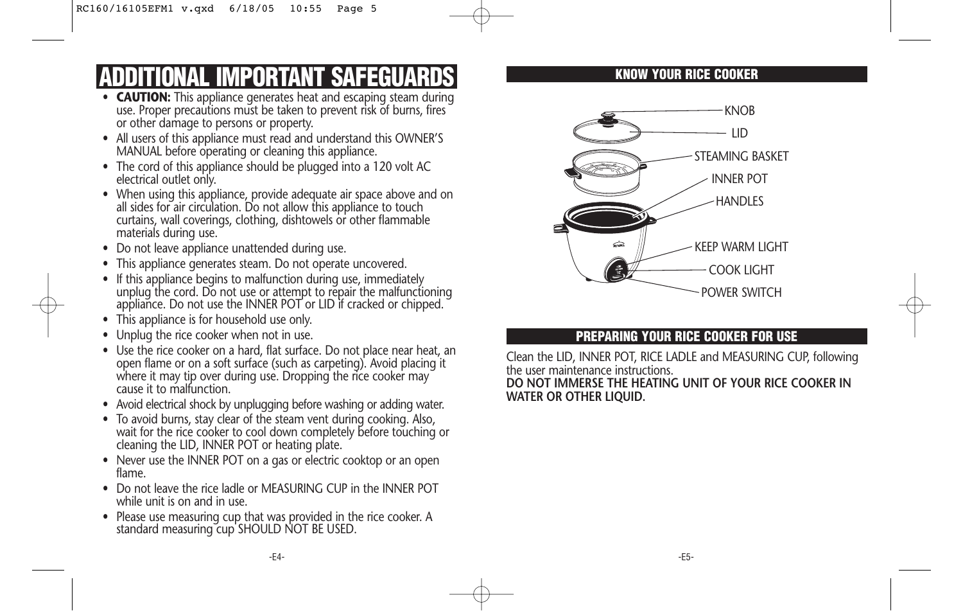# **ADDITIONAL IMPORTANT SAFEGUARDS**

- **CAUTION:** This appliance generates heat and escaping steam during use. Proper precautions must be taken to prevent risk of burns, fires or other damage to persons or property.
- All users of this appliance must read and understand this OWNER'S MANUAL before operating or cleaning this appliance.
- The cord of this appliance should be plugged into a 120 volt AC electrical outlet only.
- When using this appliance, provide adequate air space above and on all sides for air circulation. Do not allow this appliance to touch curtains, wall coverings, clothing, dishtowels or other flammable materials during use.
- Do not leave appliance unattended during use.
- This appliance generates steam. Do not operate uncovered.
- If this appliance begins to malfunction during use, immediately unplug the cord. Do not use or attempt to repair the malfunctioning appliance. Do not use the INNER POT or LID if cracked or chipped.
- This appliance is for household use only.
- Unplug the rice cooker when not in use.
- Use the rice cooker on a hard, flat surface. Do not place near heat, an open flame or on a soft surface (such as carpeting). Avoid placing it where it may tip over during use. Dropping the rice cooker may cause it to malfunction.
- Avoid electrical shock by unplugging before washing or adding water.
- To avoid burns, stay clear of the steam vent during cooking. Also, wait for the rice cooker to cool down completely before touching or cleaning the LID, INNER POT or heating plate.
- Never use the INNER POT on a gas or electric cooktop or an open flame.
- Do not leave the rice ladle or MEASURING CUP in the INNER POT while unit is on and in use.
- Please use measuring cup that was provided in the rice cooker. A standard measuring cup SHOULD NOT BE USED.

### **KNOW YOUR RICE COOKER**



### **PREPARING YOUR RICE COOKER FOR USE**

Clean the LID, INNER POT, RICE LADLE and MEASURING CUP, following the user maintenance instructions.

**DO NOT IMMERSE THE HEATING UNIT OF YOUR RICE COOKER IN WATER OR OTHER LIQUID.**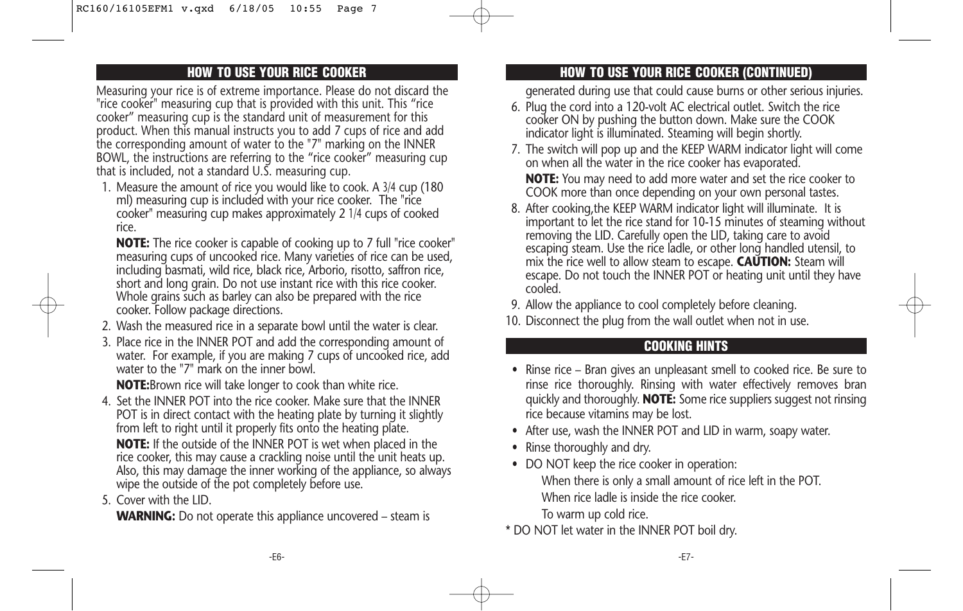### **HOW TO USE YOUR RICE COOKER**

Measuring your rice is of extreme importance. Please do not discard the "rice cooker" measuring cup that is provided with this unit. This "rice cooker" measuring cup is the standard unit of measurement for this product. When this manual instructs you to add 7 cups of rice and add the corresponding amount of water to the "7" marking on the INNER BOWL, the instructions are referring to the "rice cooker" measuring cup that is included, not a standard U.S. measuring cup.

1. Measure the amount of rice you would like to cook. A 3/4 cup (180 ml) measuring cup is included with your rice cooker. The "rice cooker" measuring cup makes approximately 2 1/4 cups of cooked rice.

**NOTE:** The rice cooker is capable of cooking up to 7 full "rice cooker" measuring cups of uncooked rice. Many varieties of rice can be used, including basmati, wild rice, black rice, Arborio, risotto, saffron rice, short and long grain. Do not use instant rice with this rice cooker. Whole grains such as barley can also be prepared with the rice cooker. Follow package directions.

- 2. Wash the measured rice in a separate bowl until the water is clear.
- 3. Place rice in the INNER POT and add the corresponding amount of water. For example, if you are making 7 cups of uncooked rice, add water to the "7" mark on the inner bowl.

**NOTE:**Brown rice will take longer to cook than white rice.

- 4. Set the INNER POT into the rice cooker. Make sure that the INNER POT is in direct contact with the heating plate by turning it slightly from left to right until it properly fits onto the heating plate. **NOTE:** If the outside of the INNER POT is wet when placed in the rice cooker, this may cause a crackling noise until the unit heats up. Also, this may damage the inner working of the appliance, so always wipe the outside of the pot completely before use.
- 5. Cover with the LID.

**WARNING:** Do not operate this appliance uncovered – steam is

### **HOW TO USE YOUR RICE COOKER (CONTINUED)**

generated during use that could cause burns or other serious injuries.

- 6. Plug the cord into a 120-volt AC electrical outlet. Switch the rice cooker ON by pushing the button down. Make sure the COOK indicator light is illuminated. Steaming will begin shortly.
- 7. The switch will pop up and the KEEP WARM indicator light will come on when all the water in the rice cooker has evaporated. **NOTE:** You may need to add more water and set the rice cooker to

COOK more than once depending on your own personal tastes.

- 8. After cooking,the KEEP WARM indicator light will illuminate. It is important to let the rice stand for 10-15 minutes of steaming without removing the LID. Carefully open the LID, taking care to avoid escaping steam. Use the rice ladle, or other long handled utensil, to mix the rice well to allow steam to escape. **CAUTION:** Steam will escape. Do not touch the INNER POT or heating unit until they have cooled.
- 9. Allow the appliance to cool completely before cleaning.
- 10. Disconnect the plug from the wall outlet when not in use.

### **COOKING HINTS**

- Rinse rice Bran gives an unpleasant smell to cooked rice. Be sure to rinse rice thoroughly. Rinsing with water effectively removes bran quickly and thoroughly. **NOTE:** Some rice suppliers suggest not rinsing rice because vitamins may be lost.
- After use, wash the INNER POT and LID in warm, soapy water.
- Rinse thoroughly and dry.
- DO NOT keep the rice cooker in operation: When there is only a small amount of rice left in the POT. When rice ladle is inside the rice cooker. To warm up cold rice.
- \* DO NOT let water in the INNER POT boil dry.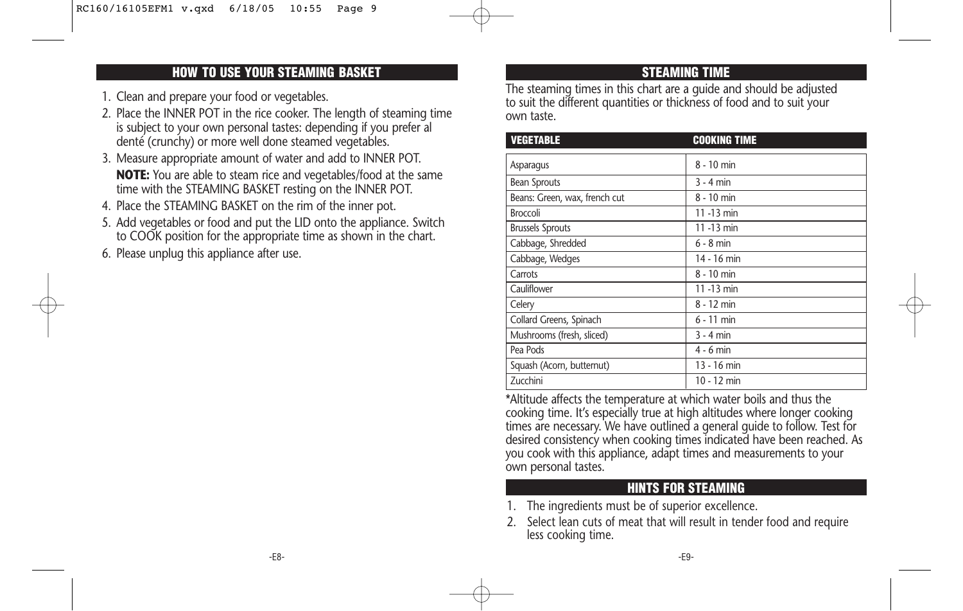### **HOW TO USE YOUR STEAMING BASKET**

- 1. Clean and prepare your food or vegetables.
- 2. Place the INNER POT in the rice cooker. The length of steaming time is subject to your own personal tastes: depending if you prefer al denté (crunchy) or more well done steamed vegetables.
- 3. Measure appropriate amount of water and add to INNER POT. **NOTE:** You are able to steam rice and vegetables/food at the same time with the STEAMING BASKET resting on the INNER POT.
- 4. Place the STEAMING BASKET on the rim of the inner pot.
- 5. Add vegetables or food and put the LID onto the appliance. Switch to COOK position for the appropriate time as shown in the chart.
- 6. Please unplug this appliance after use.

### **STEAMING TIME**

The steaming times in this chart are a guide and should be adjusted to suit the different quantities or thickness of food and to suit your own taste.

| <b>VEGETABLE</b>              | <b>COOKING TIME</b> |
|-------------------------------|---------------------|
| Asparagus                     | 8 - 10 min          |
| <b>Bean Sprouts</b>           | $3 - 4$ min         |
| Beans: Green, wax, french cut | 8 - 10 min          |
| <b>Broccoli</b>               | 11 -13 min          |
| <b>Brussels Sprouts</b>       | 11 -13 min          |
| Cabbage, Shredded             | $6 - 8$ min         |
| Cabbage, Wedges               | 14 - 16 min         |
| Carrots                       | 8 - 10 min          |
| Cauliflower                   | 11 -13 min          |
| Celery                        | 8 - 12 min          |
| Collard Greens, Spinach       | $6 - 11$ min        |
| Mushrooms (fresh, sliced)     | $3 - 4$ min         |
| Pea Pods                      | $4 - 6$ min         |
| Squash (Acorn, butternut)     | 13 - 16 min         |
| Zucchini                      | 10 - 12 min         |

\*Altitude affects the temperature at which water boils and thus the cooking time. It's especially true at high altitudes where longer cooking times are necessary. We have outlined a general guide to follow. Test for desired consistency when cooking times indicated have been reached. As you cook with this appliance, adapt times and measurements to your own personal tastes.

### **HINTS FOR STEAMING**

- 1. The ingredients must be of superior excellence.
- 2. Select lean cuts of meat that will result in tender food and require less cooking time.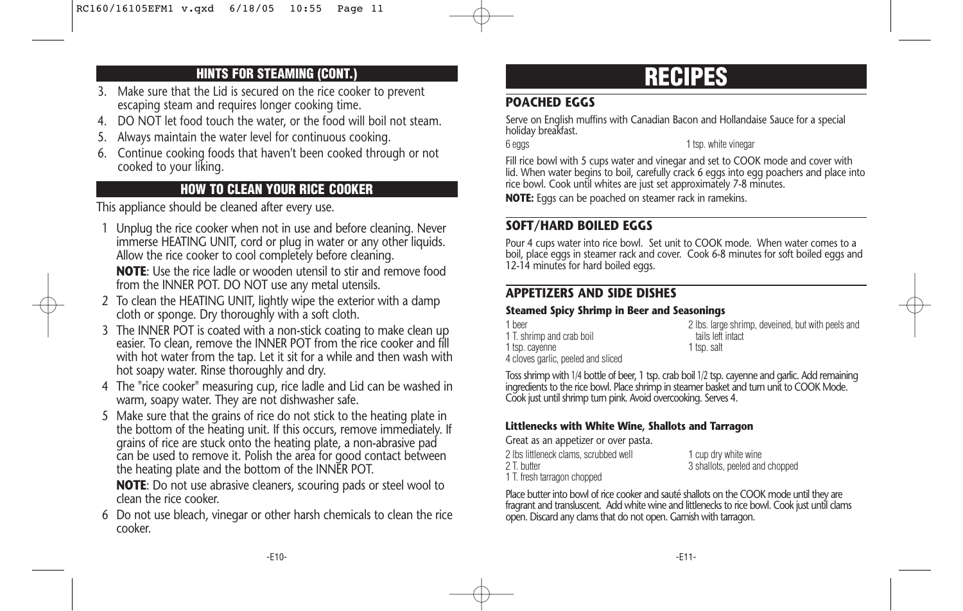### **HINTS FOR STEAMING (CONT.)**

- 3. Make sure that the Lid is secured on the rice cooker to prevent escaping steam and requires longer cooking time.
- 4. DO NOT let food touch the water, or the food will boil not steam.
- 5. Always maintain the water level for continuous cooking.
- 6. Continue cooking foods that haven't been cooked through or not cooked to your liking.

### **HOW TO CLEAN YOUR RICE COOKER**

This appliance should be cleaned after every use.

1 Unplug the rice cooker when not in use and before cleaning. Never immerse HEATING UNIT, cord or plug in water or any other liquids. Allow the rice cooker to cool completely before cleaning.

**NOTE**: Use the rice ladle or wooden utensil to stir and remove food from the INNER POT. DO NOT use any metal utensils.

- 2 To clean the HEATING UNIT, lightly wipe the exterior with a damp cloth or sponge. Dry thoroughly with a soft cloth.
- 3 The INNER POT is coated with a non-stick coating to make clean up easier. To clean, remove the INNER POT from the rice cooker and fill with hot water from the tap. Let it sit for a while and then wash with hot soapy water. Rinse thoroughly and dry.
- 4 The "rice cooker" measuring cup, rice ladle and Lid can be washed in warm, soapy water. They are not dishwasher safe.
- 5 Make sure that the grains of rice do not stick to the heating plate in the bottom of the heating unit. If this occurs, remove immediately. If grains of rice are stuck onto the heating plate, a non-abrasive pad can be used to remove it. Polish the area for good contact between the heating plate and the bottom of the INNER POT.

**NOTE**: Do not use abrasive cleaners, scouring pads or steel wool to clean the rice cooker.

6 Do not use bleach, vinegar or other harsh chemicals to clean the rice cooker.

## **RECIPES**

### **POACHED EGGS**

Serve on English muffins with Canadian Bacon and Hollandaise Sauce for a special holiday breakfast.

6 eggs 1 tsp. white vinegar

Fill rice bowl with 5 cups water and vinegar and set to COOK mode and cover with lid. When water begins to boil, carefully crack 6 eggs into egg poachers and place into rice bowl. Cook until whites are just set approximately 7-8 minutes.

**NOTE:** Eggs can be poached on steamer rack in ramekins.

### **SOFT/HARD BOILED EGGS**

Pour 4 cups water into rice bowl. Set unit to COOK mode. When water comes to a boil, place eggs in steamer rack and cover. Cook 6-8 minutes for soft boiled eggs and 12-14 minutes for hard boiled eggs.

### **APPETIZERS AND SIDE DISHES**

### **Steamed Spicy Shrimp in Beer and Seasonings**

| 1 heer                             | 2 lbs. large shrimp, deveined, but with peels and |
|------------------------------------|---------------------------------------------------|
| 1 T. shrimp and crab boil          | tails left intact                                 |
| 1 tsp. cayenne                     | 1 tsp. salt                                       |
| 4 cloves garlic, peeled and sliced |                                                   |

Toss shrimp with 1/4 bottle of beer, 1 tsp. crab boil 1/2 tsp. cayenne and garlic. Add remaining ingredients to the rice bowl. Place shrimp in steamer basket and turn unit to COOK Mode. Cook just until shrimp turn pink. Avoid overcooking. Serves 4.

### **Littlenecks with White Wine, Shallots and Tarragon**

Great as an appetizer or over pasta. 2 lbs littleneck clams, scrubbed well 1 cup dry white wine 2 T. butter 3 shallots, peeled and chopped 1 T. fresh tarragon chopped

Place butter into bowl of rice cooker and sauté shallots on the COOK mode until they are fragrant and transluscent. Add white wine and littlenecks to rice bowl. Cook just until clams open. Discard any clams that do not open. Garnish with tarragon.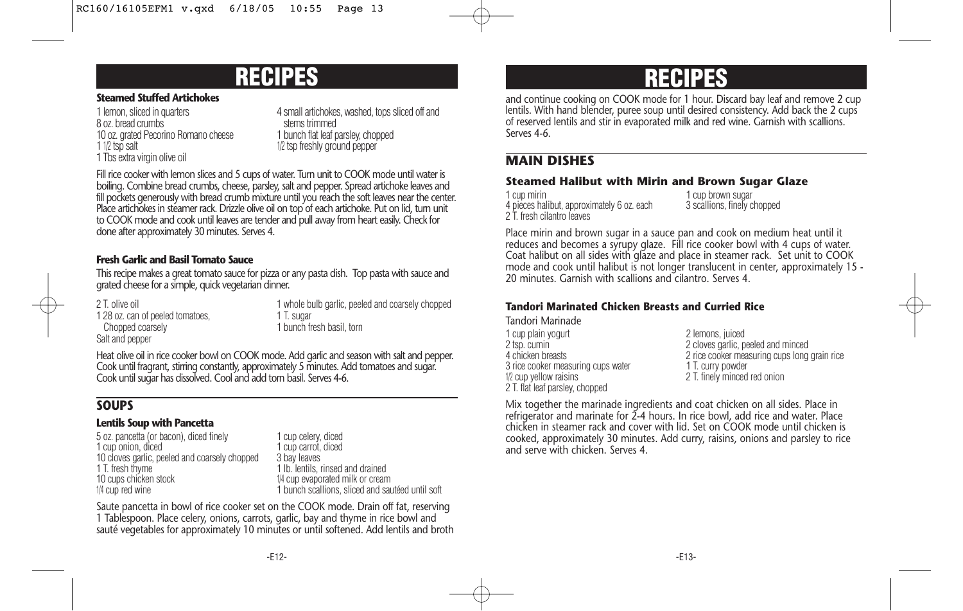### **RECIPES**

#### **Steamed Stuffed Artichokes**

8 oz. bread crumbs stems trimmed 10 oz. grated Pecorino Romano cheese<br>1 1/2 tsp salt 1 Tbs extra virgin olive oil

1 lemon, sliced in quarters 4 small artichokes, washed, tops sliced off and 1/2 tsp freshly ground pepper

Fill rice cooker with lemon slices and 5 cups of water. Turn unit to COOK mode until water is boiling. Combine bread crumbs, cheese, parsley, salt and pepper. Spread artichoke leaves and fill pockets generously with bread crumb mixture until you reach the soft leaves near the center. Place artichokes in steamer rack. Drizzle olive oil on top of each artichoke. Put on lid, turn unit to COOK mode and cook until leaves are tender and pull away from heart easily. Check for done after approximately 30 minutes. Serves 4.

### **Fresh Garlic and Basil Tomato Sauce**

This recipe makes a great tomato sauce for pizza or any pasta dish. Top pasta with sauce and grated cheese for a simple, quick vegetarian dinner.

1 28 oz. can of peeled tomatoes. Chopped coarsely **1** bunch fresh basil, torn Salt and pepper

2 T. olive oil<br>1 28 oz. can of peeled tomatoes.<br>1 T. sugar 1 T. Sugar 1 and coarsely chopped

Heat olive oil in rice cooker bowl on COOK mode. Add garlic and season with salt and pepper. Cook until fragrant, stirring constantly, approximately 5 minutes. Add tomatoes and sugar. Cook until sugar has dissolved. Cool and add torn basil. Serves 4-6.

### **SOUPS**

### **Lentils Soup with Pancetta**

5 oz. pancetta (or bacon), diced finely 1 cup celery, diced<br>1 cup onion, diced 1 cup carrot, diced 1 cup onion, diced<br>10 cloves garlic, peeled and coarsely chopped 3 bay leaves 10 cloves garlic, peeled and coarsely chopped<br>1 T. fresh thyme 1 T. fresh thyme 1 lb. lentils, rinsed and drained<br>10 cups chicken stock 1/4 cup evaporated milk or crean 10 cups chicken stock 1/4 cup evaporated milk or cream<br>1/4 cup red wine 1/4 cup evaporated milk or cream 1/4 cup evaporated milk or cream

1 bunch scallions, sliced and sautéed until soft

Saute pancetta in bowl of rice cooker set on the COOK mode. Drain off fat, reserving 1 Tablespoon. Place celery, onions, carrots, garlic, bay and thyme in rice bowl and sauté vegetables for approximately 10 minutes or until softened. Add lentils and broth

## **RECIPES**

and continue cooking on COOK mode for 1 hour. Discard bay leaf and remove 2 cup lentils. With hand blender, puree soup until desired consistency. Add back the 2 cups of reserved lentils and stir in evaporated milk and red wine. Garnish with scallions. Serves 4-6.

### **MAIN DISHES**

### **Steamed Halibut with Mirin and Brown Sugar Glaze**

1 cup mirin 1 cup brown sugar<br>4 pieces halibut, approximately 6 oz. each 3 scallions, finely chopped 4 pieces halibut, approximately 6 oz. each 2 T. fresh cilantro leaves

Place mirin and brown sugar in a sauce pan and cook on medium heat until it reduces and becomes a syrupy glaze. Fill rice cooker bowl with 4 cups of water. Coat halibut on all sides with glaze and place in steamer rack. Set unit to COOK mode and cook until halibut is not longer translucent in center, approximately 15 - 20 minutes. Garnish with scallions and cilantro. Serves 4.

### **Tandori Marinated Chicken Breasts and Curried Rice**

Tandori Marinade

1 cup plain yogurt 1 cup plain yogurt 1 cup plain yogurt 2 lemons, juiced 2 lemons is a 2 cloves garlic. p 3 rice cooker measuring cups water 1/2 cup yellow raisins 2 T. flat leaf parsley, chopped

2 tsp. cumin 2 cloves garlic, peeled and minced<br>2 rice cooker measuring cups long<br>2 rice cooker measuring cups long 2 rice cooker measuring cups long grain rice<br>1 T. curry powder 2 T. finely minced red onion

Mix together the marinade ingredients and coat chicken on all sides. Place in refrigerator and marinate for 2-4 hours. In rice bowl, add rice and water. Place chicken in steamer rack and cover with lid. Set on COOK mode until chicken is cooked, approximately 30 minutes. Add curry, raisins, onions and parsley to rice and serve with chicken. Serves 4.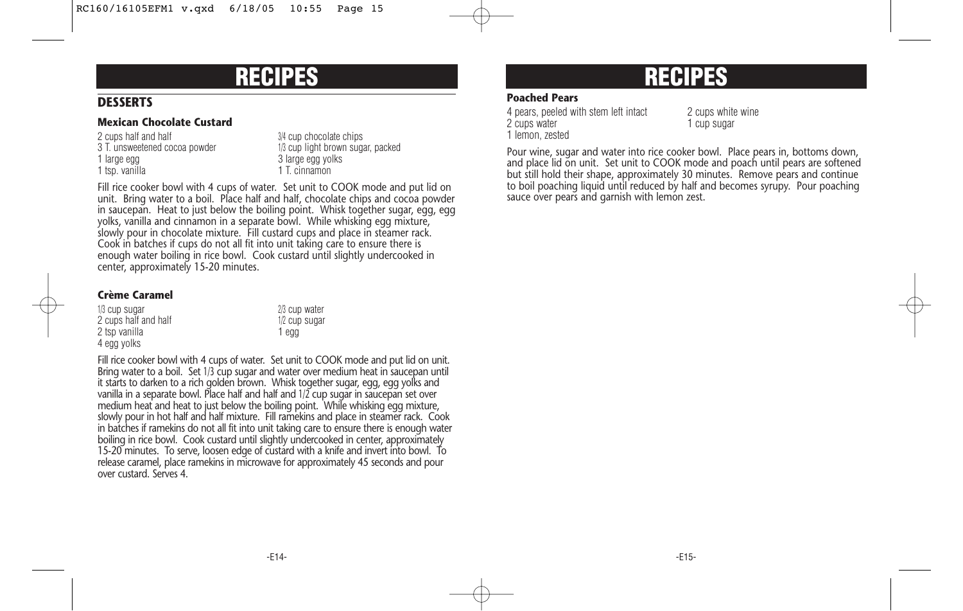### **DESSERTS**

#### **Mexican Chocolate Custard**

2 cups half and half 3/4 cup chocolate chips 1 large egg volks<br>1 tsp. vanilla 3 large egg yolks 1 tsp. vanilla

3 T. unsweetened cocoa powder 1/3 cup light brown sugar, packed

Fill rice cooker bowl with 4 cups of water. Set unit to COOK mode and put lid on unit. Bring water to a boil. Place half and half, chocolate chips and cocoa powder in saucepan. Heat to just below the boiling point. Whisk together sugar, egg, egg yolks, vanilla and cinnamon in a separate bowl. While whisking egg mixture, slowly pour in chocolate mixture. Fill custard cups and place in steamer rack. Cook in batches if cups do not all fit into unit taking care to ensure there is enough water boiling in rice bowl. Cook custard until slightly undercooked in center, approximately 15-20 minutes.

> 2/3 cup water 1/2 cup sugar

### **Crème Caramel**

| 1/3 cup sugar        | $2/3$ cur |
|----------------------|-----------|
| 2 cups half and half | $1/2$ cur |
| 2 tsp vanilla        | 1 egg     |
| 4 egg yolks          |           |

Fill rice cooker bowl with 4 cups of water. Set unit to COOK mode and put lid on unit. Bring water to a boil. Set 1/3 cup sugar and water over medium heat in saucepan until it starts to darken to a rich golden brown. Whisk together sugar, egg, egg yolks and vanilla in a separate bowl. Place half and half and 1/2 cup sugar in saucepan set over medium heat and heat to just below the boiling point. While whisking egg mixture, slowly pour in hot half and half mixture. Fill ramekins and place in steamer rack. Cook in batches if ramekins do not all fit into unit taking care to ensure there is enough water boiling in rice bowl. Cook custard until slightly undercooked in center, approximately 15-20 minutes. To serve, loosen edge of custard with a knife and invert into bowl. To release caramel, place ramekins in microwave for approximately 45 seconds and pour over custard. Serves 4.

### **RECIPES RECIPES**

### **Poached Pears**

4 pears, peeled with stem left intact 2 cups white wine 2 cups water 1 cup sugar 1 lemon, zested

Pour wine, sugar and water into rice cooker bowl. Place pears in, bottoms down, and place lid on unit. Set unit to COOK mode and poach until pears are softened but still hold their shape, approximately 30 minutes. Remove pears and continue to boil poaching liquid until reduced by half and becomes syrupy. Pour poaching sauce over pears and garnish with lemon zest.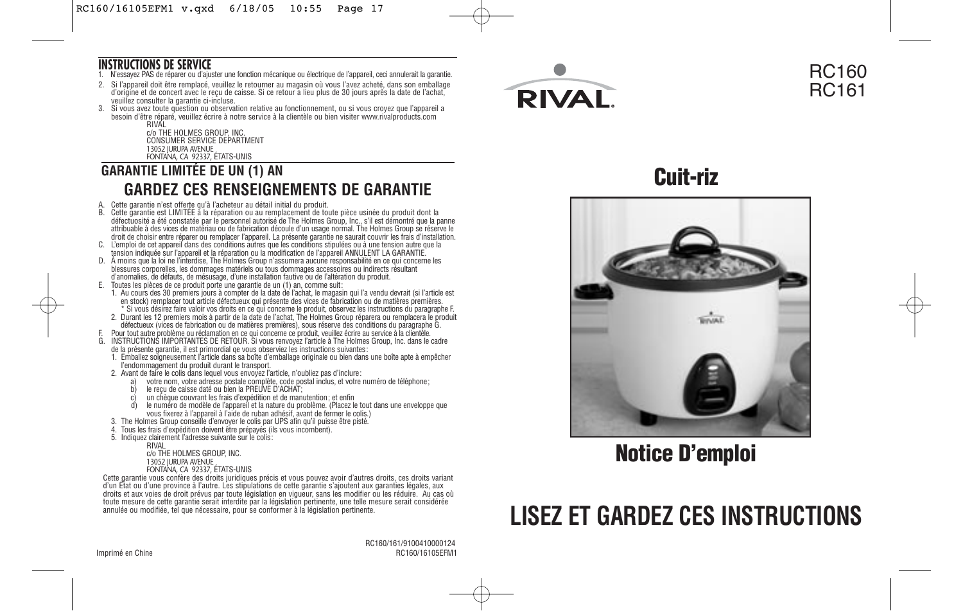### **INSTRUCTIONS DE SERVICE**

- 1. N'essayez PAS de réparer ou d'ajuster une fonction mécanique ou électrique de l'appareil, ceci annulerait la garantie.
- 2. Si l'appareil doit être remplacé, veuillez le retourner au magasin où vous l'avez acheté, dans son emballage d'origine et de concert avec le reçu de caisse. Si ce retour a lieu plus de 30 jours après la date de l'achat, veuillez consulter la garantie ci-incluse.
- 3. Si vous avez toute question ou observation relative au fonctionnement, ou si vous croyez que l'appareil a besoin d'être réparé, veuillez écrire à notre service à la clientèle ou bien visiter www.rivalproducts.com

RIVAL c/o THE HOLMES GROUP, INC. CONSUMER SERVICE DEPARTMENT 13052 JURUPA AVENUE FONTANA, CA 92337, ÉTATS-UNIS

### **GARANTIE LIMITÉE DE UN (1) AN GARDEZ CES RENSEIGNEMENTS DE GARANTIE**

- 
- A. Cette garantie n'est offerte qu'à l'acheteur au détail initial du produit. B. Cette garantie est LIMITÉE à la réparation ou au remplacement de toute pièce usinée du produit dont la défectuosité a été constatée par le personnel autorisé de The Holmes Group, Inc., s'il est démontré que la panne attribuable à des vices de matériau ou de fabrication découle d'un usage normal. The Holmes Group se réserve le droit de choisir entre réparer ou remplacer l'appareil. La présente garantie ne saurait couvrir les frais d'installation.
- C. L'emploi de cet appareil dans des conditions autres que les conditions stipulées ou à une tension autre que la tension indiquée sur l'appareil et la réparation ou la modification de l'appareil ANNULENT LA GARANTIE.
- D. À moins que la loi ne l'interdise, The Holmes Group n'assumera aucune responsabilité en ce qui concerne les blessures corporelles, les dommages matériels ou tous dommages accessoires ou indirects résultant d'anomalies, de défauts, de mésusage, d'une installation fautive ou de l'altération du produit.
- E. Toutes les pièces de ce produit porte une garantie de un (1) an, comme suit: 1. Au cours des 30 premiers jours à compter de la date de l'achat, le magasin qui l'a vendu devrait (si l'article est en stock) remplacer tout article défectueux qui présente des vices de fabrication ou de matières premières. \* Si vous désirez faire valoir vos droits en ce qui concerne le produit, observez les instructions du paragraphe F.
	- 2. Durant les 12 premiers mois à partir de la date de l'achat, The Holmes Group réparera ou remplacera le produit défectueux (vices de fabrication ou de matières premières), sous réserve des conditions du paragraphe G.
- 
- F. Pour tout autre problème ou réclamation en ce qui concerne ce produit, veuillez écrire au service à la clientèle.<br>G. INSTRUCTIONS IMPORTANTES DE RETOUR. Si vous renvoyez l'article à The Holmes Group, Inc. dans le ca
	- 1. Emballez soigneusement l'article dans sa boîte d'emballage originale ou bien dans une boîte apte à empêcher l'endommagement du produit durant le transport.
	- 2. Avant de faire le colis dans lequel vous envoyez l'article, n'oubliez pas d'inclure:
		-
		-
		-
		- a) votre nom, votre adresse postale complète, code postal inclus, et votre numéro de téléphone;<br>b) le reçu de caisse daté ou bien la PREUVE D'ACHAT;<br>c) un chèque couvrant les frais d'expédition et de manutention; et vous fixerez à l'appareil à l'aide de ruban adhésif, avant de fermer le colis.)
	- 3. The Holmes Group conseille d'envoyer le colis par UPS afin qu'il puisse être pisté.
	- 4. Tous les frais d'expédition doivent être prépayés (ils vous incombent).
	- 5. Indiquez clairement l'adresse suivante sur le colis: RIVAL

- c/o THE HOLMES GROUP, INC. 13052 JURUPA AVENUE
- FONTANA, CA 92337, ÉTATS-UNIS

Cette garantie vous confère des droits juridiques précis et vous pouvez avoir d'autres droits, ces droits variant<br>d'un État ou d'une province à l'autre. Les stipulations de cette garantie s'ajoutent aux garanties légales, annulée ou modifiée, tel que nécessaire, pour se conformer à la législation pertinente.



### RC160 RC161

**Cuit-riz**



**Notice D'emploi**

# **LISEZ ET GARDEZ CES INSTRUCTIONS**

 RC160/161/9100410000124 Imprimé en Chine  $RCI60/16105EFM1$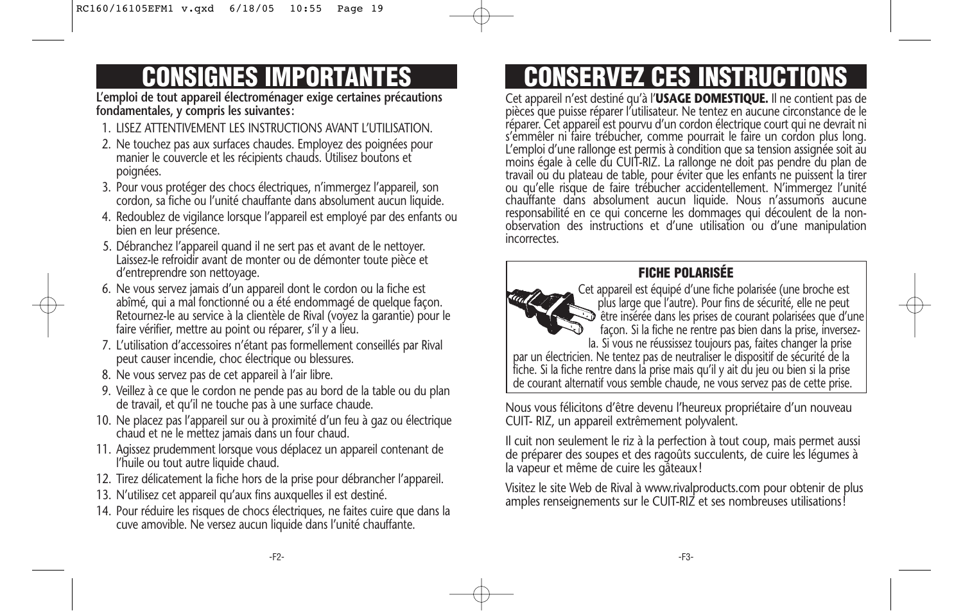# **CONSIGNES IMPORTANTES**

**L'emploi de tout appareil électroménager exige certaines précautions fondamentales, y compris les suivantes:**

- 1. LISEZ ATTENTIVEMENT LES INSTRUCTIONS AVANT L'UTILISATION.
- 2. Ne touchez pas aux surfaces chaudes. Employez des poignées pour manier le couvercle et les récipients chauds. Utilisez boutons et poignées.
- 3. Pour vous protéger des chocs électriques, n'immergez l'appareil, son cordon, sa fiche ou l'unité chauffante dans absolument aucun liquide.
- 4. Redoublez de vigilance lorsque l'appareil est employé par des enfants ou bien en leur présence.
- 5. Débranchez l'appareil quand il ne sert pas et avant de le nettoyer. Laissez-le refroidir avant de monter ou de démonter toute pièce et d'entreprendre son nettoyage.
- 6. Ne vous servez jamais d'un appareil dont le cordon ou la fiche est abîmé, qui a mal fonctionné ou a été endommagé de quelque façon. Retournez-le au service à la clientèle de Rival (voyez la garantie) pour le faire vérifier, mettre au point ou réparer, s'il y a lieu.
- 7. L'utilisation d'accessoires n'étant pas formellement conseillés par Rival peut causer incendie, choc électrique ou blessures.
- 8. Ne vous servez pas de cet appareil à l'air libre.
- 9. Veillez à ce que le cordon ne pende pas au bord de la table ou du plan de travail, et qu'il ne touche pas à une surface chaude.
- 10. Ne placez pas l'appareil sur ou à proximité d'un feu à gaz ou électrique chaud et ne le mettez jamais dans un four chaud.
- 11. Agissez prudemment lorsque vous déplacez un appareil contenant de l'huile ou tout autre liquide chaud.
- 12. Tirez délicatement la fiche hors de la prise pour débrancher l'appareil.
- 13. N'utilisez cet appareil qu'aux fins auxquelles il est destiné.
- 14. Pour réduire les risques de chocs électriques, ne faites cuire que dans la cuve amovible. Ne versez aucun liquide dans l'unité chauffante.

# **CONSERVEZ CES INSTRUCTIONS**

Cet appareil n'est destiné qu'à l'**USAGE DOMESTIQUE.** Il ne contient pas de pièces que puisse réparer l'utilisateur. Ne tentez en aucune circonstance de le réparer. Cet appareil est pourvu d'un cordon électrique court qui ne devrait ni s'emmêler ni faire trébucher, comme pourrait le faire un cordon plus long. L'emploi d'une rallonge est permis à condition que sa tension assignée soit au moins égale à celle du CUIT-RIZ. La rallonge ne doit pas pendre du plan de travail ou du plateau de table, pour éviter que les enfants ne puissent la tirer ou qu'elle risque de faire trébucher accidentellement. N'immergez l'unité chauffante dans absolument aucun liquide. Nous n'assumons aucune responsabilité en ce qui concerne les dommages qui découlent de la nonobservation des instructions et d'une utilisation ou d'une manipulation incorrectes.

### **FICHE POLARISÉE**



Cet appareil est équipé d'une fiche polarisée (une broche est plus large que l'autre). Pour fins de sécurité, elle ne peut être insérée dans les prises de courant polarisées que d'une façon. Si la fiche ne rentre pas bien dans la prise, inversezla. Si vous ne réussissez toujours pas, faites changer la prise

par un électricien. Ne tentez pas de neutraliser le dispositif de sécurité de la fiche. Si la fiche rentre dans la prise mais qu'il y ait du jeu ou bien si la prise de courant alternatif vous semble chaude, ne vous servez pas de cette prise.

Nous vous félicitons d'être devenu l'heureux propriétaire d'un nouveau CUIT- RIZ, un appareil extrêmement polyvalent.

Il cuit non seulement le riz à la perfection à tout coup, mais permet aussi de préparer des soupes et des ragoûts succulents, de cuire les légumes à la vapeur et même de cuire les gâteaux!

Visitez le site Web de Rival à www.rivalproducts.com pour obtenir de plus amples renseignements sur le CUIT-RIZ et ses nombreuses utilisations!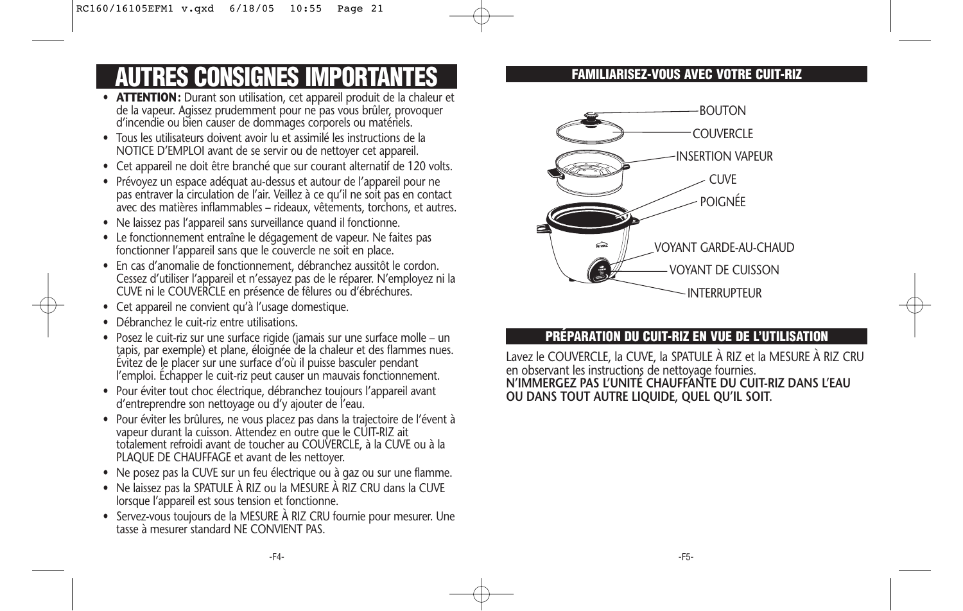# **AUTRES CONSIGNES IMPORTANTES**

- **ATTENTION:** Durant son utilisation, cet appareil produit de la chaleur et de la vapeur. Agissez prudemment pour ne pas vous brûler, provoquer d'incendie ou bien causer de dommages corporels ou matériels.
- Tous les utilisateurs doivent avoir lu et assimilé les instructions de la NOTICE D'EMPLOI avant de se servir ou de nettoyer cet appareil.
- Cet appareil ne doit être branché que sur courant alternatif de 120 volts.
- Prévoyez un espace adéquat au-dessus et autour de l'appareil pour ne pas entraver la circulation de l'air. Veillez à ce qu'il ne soit pas en contact avec des matières inflammables – rideaux, vêtements, torchons, et autres.
- Ne laissez pas l'appareil sans surveillance quand il fonctionne.
- Le fonctionnement entraîne le dégagement de vapeur. Ne faites pas fonctionner l'appareil sans que le couvercle ne soit en place.
- En cas d'anomalie de fonctionnement, débranchez aussitôt le cordon. Cessez d'utiliser l'appareil et n'essayez pas de le réparer. N'employez ni la CUVE ni le COUVERCLE en présence de fêlures ou d'ébréchures.
- Cet appareil ne convient qu'à l'usage domestique.
- Débranchez le cuit-riz entre utilisations.
- Posez le cuit-riz sur une surface rigide (jamais sur une surface molle un tapis, par exemple) et plane, éloignée de la chaleur et des flammes nues. Évitez de le placer sur une surface d'où il puisse basculer pendant l'emploi. Échapper le cuit-riz peut causer un mauvais fonctionnement.
- Pour éviter tout choc électrique, débranchez toujours l'appareil avant d'entreprendre son nettoyage ou d'y ajouter de l'eau.
- Pour éviter les brûlures, ne vous placez pas dans la trajectoire de l'évent à vapeur durant la cuisson. Attendez en outre que le CUIT-RIZ ait totalement refroidi avant de toucher au COUVERCLE, à la CUVE ou à la PLAQUE DE CHAUFFAGE et avant de les nettoyer.
- Ne posez pas la CUVE sur un feu électrique ou à gaz ou sur une flamme.
- Ne laissez pas la SPATULE À RIZ ou la MESURE À RIZ CRU dans la CUVE lorsque l'appareil est sous tension et fonctionne.
- Servez-vous toujours de la MESURE À RIZ CRU fournie pour mesurer. Une tasse à mesurer standard NF CONVIENT PAS

### **FAMILIARISEZ-VOUS AVEC VOTRE CUIT-RIZ**



### **PRÉPARATION DU CUIT-RIZ EN VUE DE L'UTILISATION**

Lavez le COUVERCLE, la CUVE, la SPATULE À RIZ et la MESURE À RIZ CRU en observant les instructions de nettoyage fournies. **N'IMMERGEZ PAS L'UNITÉ CHAUFFANTE DU CUIT-RIZ DANS L'EAU OU DANS TOUT AUTRE LIQUIDE, QUEL QU'IL SOIT.**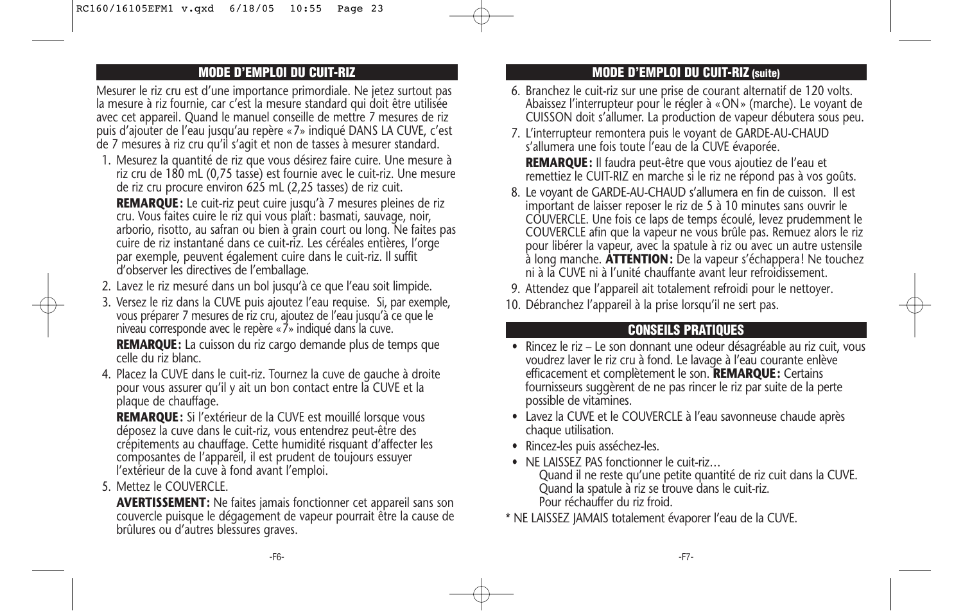### **MODE D'EMPLOI DU CUIT-RIZ**

Mesurer le riz cru est d'une importance primordiale. Ne jetez surtout pas la mesure à riz fournie, car c'est la mesure standard qui doit être utilisée avec cet appareil. Quand le manuel conseille de mettre 7 mesures de riz puis d'ajouter de l'eau jusqu'au repère «7» indiqué DANS LA CUVE, c'est de 7 mesures à riz cru qu'il s'agit et non de tasses à mesurer standard.

1. Mesurez la quantité de riz que vous désirez faire cuire. Une mesure à riz cru de 180 mL (0,75 tasse) est fournie avec le cuit-riz. Une mesure de riz cru procure environ 625 mL (2,25 tasses) de riz cuit.

**REMARQUE:** Le cuit-riz peut cuire jusqu'à 7 mesures pleines de riz cru. Vous faites cuire le riz qui vous plaît: basmati, sauvage, noir, arborio, risotto, au safran ou bien à grain court ou long. Ne faites pas cuire de riz instantané dans ce cuit-riz. Les céréales entières, l'orge par exemple, peuvent également cuire dans le cuit-riz. Il suffit d'observer les directives de l'emballage.

- 2. Lavez le riz mesuré dans un bol jusqu'à ce que l'eau soit limpide.
- 3. Versez le riz dans la CUVE puis ajoutez l'eau requise. Si, par exemple, vous préparer 7 mesures de riz cru, ajoutez de l'eau jusqu'à ce que le niveau corresponde avec le repère «7» indiqué dans la cuve.

**REMARQUE:** La cuisson du riz cargo demande plus de temps que celle du riz blanc.

4. Placez la CUVE dans le cuit-riz. Tournez la cuve de gauche à droite pour vous assurer qu'il y ait un bon contact entre la CUVE et la plaque de chauffage.

**REMARQUE:** Si l'extérieur de la CUVE est mouillé lorsque vous déposez la cuve dans le cuit-riz, vous entendrez peut-être des crépitements au chauffage. Cette humidité risquant d'affecter les composantes de l'appareil, il est prudent de toujours essuyer l'extérieur de la cuve à fond avant l'emploi.

5. Mettez le COUVERCLE.

**AVERTISSEMENT:** Ne faites jamais fonctionner cet appareil sans son couvercle puisque le dégagement de vapeur pourrait être la cause de brûlures ou d'autres blessures graves.

### **MODE D'EMPLOI DU CUIT-RIZ (suite)**

- 6. Branchez le cuit-riz sur une prise de courant alternatif de 120 volts. Abaissez l'interrupteur pour le régler à «ON» (marche). Le voyant de CUISSON doit s'allumer. La production de vapeur débutera sous peu.
- 7. L'interrupteur remontera puis le voyant de GARDE-AU-CHAUD s'allumera une fois toute l'eau de la CUVE évaporée. **REMARQUE:** Il faudra peut-être que vous ajoutiez de l'eau et
	- remettiez le CUIT-RIZ en marche si le riz ne répond pas à vos goûts.
- 8. Le voyant de GARDE-AU-CHAUD s'allumera en fin de cuisson. Il est important de laisser reposer le riz de 5 à 10 minutes sans ouvrir le COUVERCLE. Une fois ce laps de temps écoulé, levez prudemment le COUVERCLE afin que la vapeur ne vous brûle pas. Remuez alors le riz pour libérer la vapeur, avec la spatule à riz ou avec un autre ustensile à long manche. **ATTENTION:** De la vapeur s'échappera! Ne touchez ni à la CUVE ni à l'unité chauffante avant leur refroidissement.
- 9. Attendez que l'appareil ait totalement refroidi pour le nettoyer.
- 10. Débranchez l'appareil à la prise lorsqu'il ne sert pas.

### **CONSEILS PRATIQUES**

- Rincez le riz Le son donnant une odeur désagréable au riz cuit, vous voudrez laver le riz cru à fond. Le lavage à l'eau courante enlève efficacement et complètement le son. **REMARQUE:** Certains fournisseurs suggèrent de ne pas rincer le riz par suite de la perte possible de vitamines.
- Lavez la CUVE et le COUVERCLE à l'eau savonneuse chaude après chaque utilisation.
- Rincez-les puis asséchez-les.
- NE LAISSEZ PAS fonctionner le cuit-riz… Quand il ne reste qu'une petite quantité de riz cuit dans la CUVE. Quand la spatule à riz se trouve dans le cuit-riz. Pour réchauffer du riz froid.
- \* NE LAISSEZ JAMAIS totalement évaporer l'eau de la CUVE.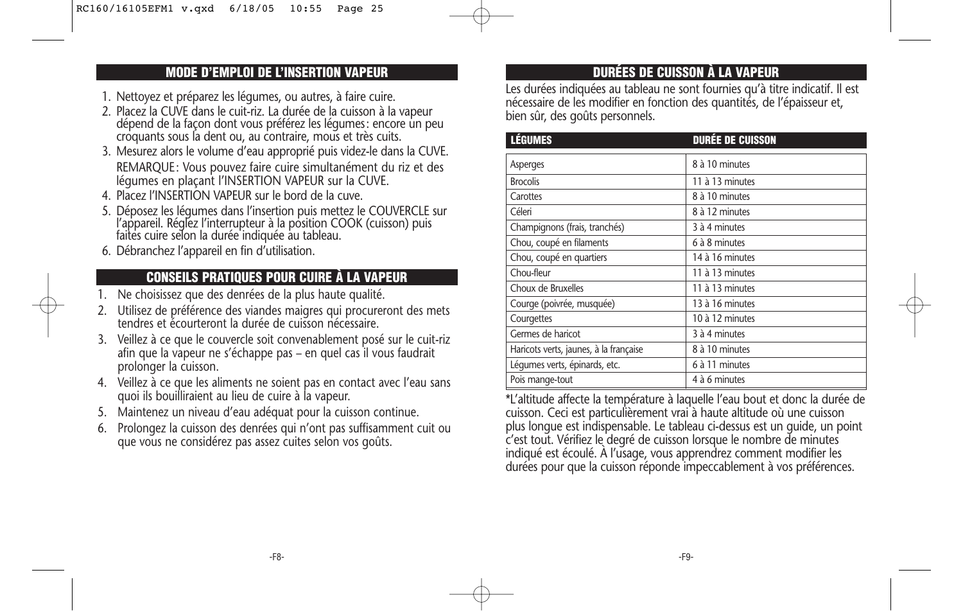### **MODE D'EMPLOI DE L'INSERTION VAPEUR**

- 1. Nettoyez et préparez les légumes, ou autres, à faire cuire.
- 2. Placez la CUVE dans le cuit-riz. La durée de la cuisson à la vapeur dépend de la façon dont vous préférez les légumes: encore un peu croquants sous la dent ou, au contraire, mous et très cuits.
- 3. Mesurez alors le volume d'eau approprié puis videz-le dans la CUVE. REMARQUE: Vous pouvez faire cuire simultanément du riz et des légumes en plaçant l'INSERTION VAPEUR sur la CUVE.
- 4. Placez l'INSERTION VAPEUR sur le bord de la cuve.
- 5. Déposez les légumes dans l'insertion puis mettez le COUVERCLE sur l'appareil. Réglez l'interrupteur à la position COOK (cuisson) puis faites cuire selon la durée indiquée au tableau.
- 6. Débranchez l'appareil en fin d'utilisation.

### **CONSEILS PRATIQUES POUR CUIRE À LA VAPEUR**

- 1. Ne choisissez que des denrées de la plus haute qualité.
- 2. Utilisez de préférence des viandes maigres qui procureront des mets tendres et écourteront la durée de cuisson nécessaire.
- 3. Veillez à ce que le couvercle soit convenablement posé sur le cuit-riz afin que la vapeur ne s'échappe pas – en quel cas il vous faudrait prolonger la cuisson.
- 4. Veillez à ce que les aliments ne soient pas en contact avec l'eau sans quoi ils bouilliraient au lieu de cuire à la vapeur.
- 5. Maintenez un niveau d'eau adéquat pour la cuisson continue.
- 6. Prolongez la cuisson des denrées qui n'ont pas suffisamment cuit ou que vous ne considérez pas assez cuites selon vos goûts.

### **DURÉES DE CUISSON À LA VAPEUR**

Les durées indiquées au tableau ne sont fournies qu'à titre indicatif. Il est nécessaire de les modifier en fonction des quantités, de l'épaisseur et, bien sûr, des goûts personnels.

| <b>LÉGUMES</b>                         | <b>DURÉE DE CUISSON</b> |
|----------------------------------------|-------------------------|
| Asperges                               | 8 à 10 minutes          |
| <b>Brocolis</b>                        | 11 à 13 minutes         |
| Carottes                               | 8 à 10 minutes          |
| Céleri                                 | 8 à 12 minutes          |
| Champignons (frais, tranchés)          | 3 à 4 minutes           |
| Chou, coupé en filaments               | 6 à 8 minutes           |
| Chou, coupé en quartiers               | 14 à 16 minutes         |
| Chou-fleur                             | 11 à 13 minutes         |
| Choux de Bruxelles                     | 11 à 13 minutes         |
| Courge (poivrée, musquée)              | 13 à 16 minutes         |
| Courgettes                             | 10 à 12 minutes         |
| Germes de haricot                      | 3 à 4 minutes           |
| Haricots verts, jaunes, à la française | 8 à 10 minutes          |
| Léqumes verts, épinards, etc.          | 6 à 11 minutes          |
| Pois mange-tout                        | 4 à 6 minutes           |

\*L'altitude affecte la température à laquelle l'eau bout et donc la durée de cuisson. Ceci est particulièrement vrai à haute altitude où une cuisson plus longue est indispensable. Le tableau ci-dessus est un guide, un point c'est tout. Vérifiez le degré de cuisson lorsque le nombre de minutes indiqué est écoulé. À l'usage, vous apprendrez comment modifier les durées pour que la cuisson réponde impeccablement à vos préférences.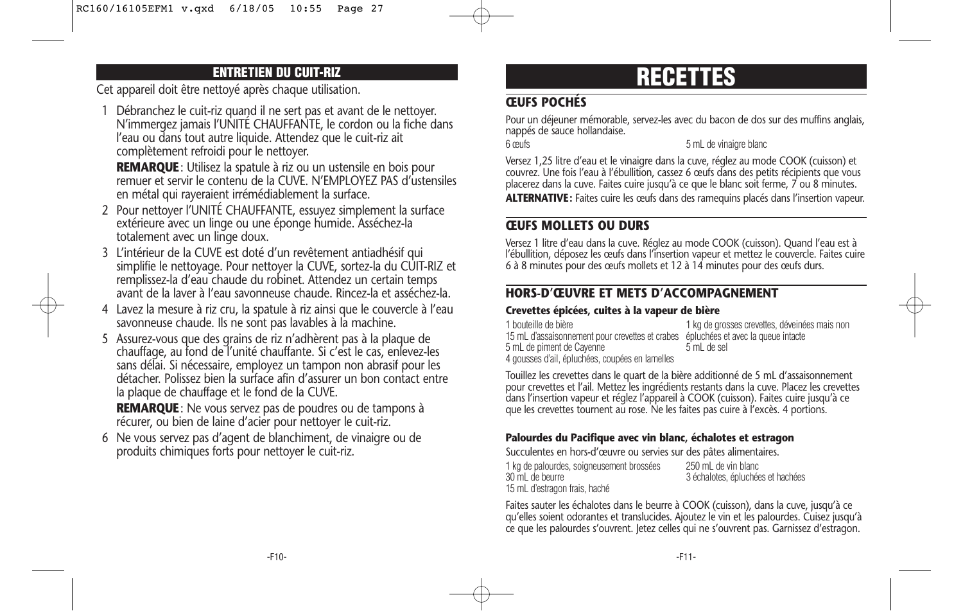Cet appareil doit être nettoyé après chaque utilisation.

1 Débranchez le cuit-riz quand il ne sert pas et avant de le nettoyer. N'immergez jamais l'UNITÉ CHAUFFANTE, le cordon ou la fiche dans l'eau ou dans tout autre liquide. Attendez que le cuit-riz ait complètement refroidi pour le nettoyer.

**REMARQUE**: Utilisez la spatule à riz ou un ustensile en bois pour remuer et servir le contenu de la CUVE. N'EMPLOYEZ PAS d'ustensiles en métal qui rayeraient irrémédiablement la surface.

- 2 Pour nettoyer l'UNITÉ CHAUFFANTE, essuyez simplement la surface extérieure avec un linge ou une éponge humide. Asséchez-la totalement avec un linge doux.
- 3 L'intérieur de la CUVE est doté d'un revêtement antiadhésif qui simplifie le nettoyage. Pour nettoyer la CUVE, sortez-la du CUIT-RIZ et remplissez-la d'eau chaude du robinet. Attendez un certain temps avant de la laver à l'eau savonneuse chaude. Rincez-la et asséchez-la.
- 4 Lavez la mesure à riz cru, la spatule à riz ainsi que le couvercle à l'eau savonneuse chaude. Ils ne sont pas lavables à la machine.
- 5 Assurez-vous que des grains de riz n'adhèrent pas à la plaque de chauffage, au fond de l'unité chauffante. Si c'est le cas, enlevez-les sans délai. Si nécessaire, employez un tampon non abrasif pour les détacher. Polissez bien la surface afin d'assurer un bon contact entre la plaque de chauffage et le fond de la CUVE.

**REMARQUE**: Ne vous servez pas de poudres ou de tampons à récurer, ou bien de laine d'acier pour nettoyer le cuit-riz.

6 Ne vous servez pas d'agent de blanchiment, de vinaigre ou de produits chimiques forts pour nettoyer le cuit-riz.

## **ENTRETIEN DU CUIT-RIZ RECETTES**

### **ŒUFS POCHÉS**

Pour un déjeuner mémorable, servez-les avec du bacon de dos sur des muffins anglais, nappés de sauce hollandaise.

6 œufs 5 mL de vinaigre blanc

Versez 1,25 litre d'eau et le vinaigre dans la cuve, réglez au mode COOK (cuisson) et couvrez. Une fois l'eau à l'ébullition, cassez 6 œufs dans des petits récipients que vous placerez dans la cuve. Faites cuire jusqu'à ce que le blanc soit ferme, 7 ou 8 minutes. **ALTERNATIVE:** Faites cuire les œufs dans des ramequins placés dans l'insertion vapeur.

### **ŒUFS MOLLETS OU DURS**

Versez 1 litre d'eau dans la cuve. Réglez au mode COOK (cuisson). Quand l'eau est à l'ébullition, déposez les œufs dans l'insertion vapeur et mettez le couvercle. Faites cuire 6 à 8 minutes pour des œufs mollets et 12 à 14 minutes pour des œufs durs.

### **HORS-D'ŒUVRE ET METS D'ACCOMPAGNEMENT**

### **Crevettes épicées, cuites à la vapeur de bière**

| 1 bouteille de bière                                                               | 1 kg de grosses crevettes, déveinées mais non |
|------------------------------------------------------------------------------------|-----------------------------------------------|
| 15 mL d'assaisonnement pour crevettes et crabes épluchées et avec la queue intacte |                                               |
| 5 mL de piment de Cavenne                                                          | 5 mL de sel                                   |
| 4 gousses d'ail, épluchées, coupées en lamelles                                    |                                               |

Touillez les crevettes dans le quart de la bière additionné de 5 mL d'assaisonnement pour crevettes et l'ail. Mettez les ingrédients restants dans la cuve. Placez les crevettes dans l'insertion vapeur et réglez l'appareil à COOK (cuisson). Faites cuire jusqu'à ce que les crevettes tournent au rose. Ne les faites pas cuire à l'excès. 4 portions.

### **Palourdes du Pacifique avec vin blanc, échalotes et estragon**

Succulentes en hors-d'œuvre ou servies sur des pâtes alimentaires.

| 1 kg de palourdes, soigneusement brossées | 250 mL de vin blanc               |
|-------------------------------------------|-----------------------------------|
| 30 mL de beurre                           | 3 échalotes, épluchées et hachées |
| 15 mL d'estragon frais, haché             |                                   |

Faites sauter les échalotes dans le beurre à COOK (cuisson), dans la cuve, jusqu'à ce qu'elles soient odorantes et translucides. Ajoutez le vin et les palourdes. Cuisez jusqu'à ce que les palourdes s'ouvrent. Jetez celles qui ne s'ouvrent pas. Garnissez d'estragon.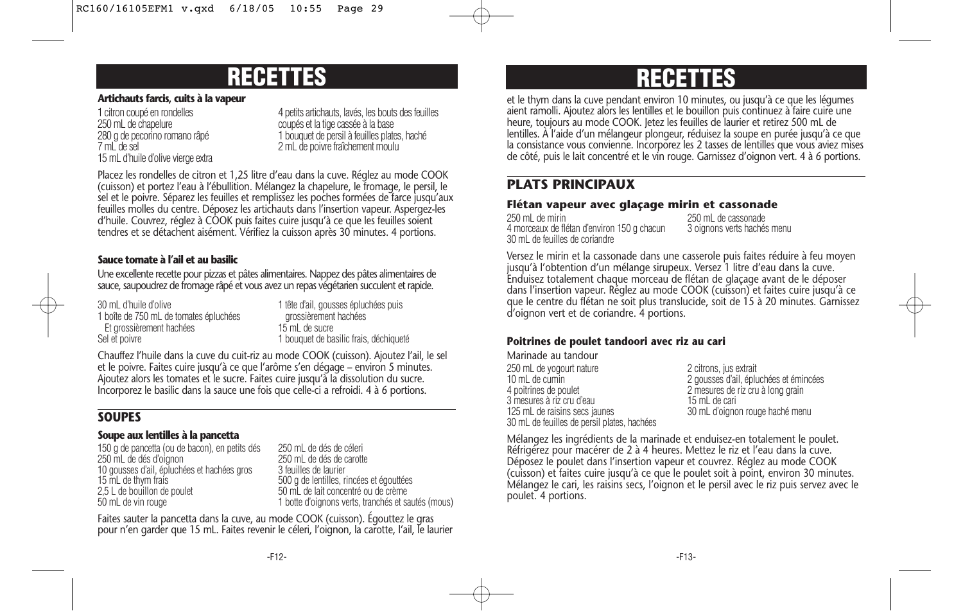### **RECETTES RECETTES**

#### **Artichauts farcis, cuits à la vapeur**

15 mL d'huile d'olive vierge extra

1 citron coupé en rondelles 4 petits artichauts, lavés, les bouts des feuilles<br>4 petits artichauts, la vis des feuilles<br>4 coupés et la tige cassée à la base coupés et la tige cassée à la base 280 g de pecorino romano râpé 1 bouquet de persil à feuilles plates, haché<br>1 mil de sel 1 animaties de la prime de poivre fraîchement moulu 2 mL de poivre fraîchement moulu

Placez les rondelles de citron et 1,25 litre d'eau dans la cuve. Réglez au mode COOK (cuisson) et portez l'eau à l'ébullition. Mélangez la chapelure, le fromage, le persil, le sel et le poivre. Séparez les feuilles et remplissez les poches formées de farce jusqu'aux feuilles molles du centre. Déposez les artichauts dans l'insertion vapeur. Aspergez-les d'huile. Couvrez, réglez à COOK puis faites cuire jusqu'à ce que les feuilles soient tendres et se détachent aisément. Vérifiez la cuisson après 30 minutes. 4 portions.

### **Sauce tomate à l'ail et au basilic**

Une excellente recette pour pizzas et pâtes alimentaires. Nappez des pâtes alimentaires de sauce, saupoudrez de fromage râpé et vous avez un repas végétarien succulent et rapide.

| 30 mL d'huile d'olive                  | 1 tête          |
|----------------------------------------|-----------------|
| 1 boîte de 750 mL de tomates épluchées | aro             |
| Et grossièrement hachées               | 15 <sub>m</sub> |
| Sel et poivre                          | 1 bou           |

d'ail, gousses épluchées puis ossièrement hachées Et grossièrement hachées 15 mL de sucre uquet de basilic frais, déchiqueté

Chauffez l'huile dans la cuve du cuit-riz au mode COOK (cuisson). Ajoutez l'ail, le sel et le poivre. Faites cuire jusqu'à ce que l'arôme s'en dégage – environ 5 minutes. Ajoutez alors les tomates et le sucre. Faites cuire jusqu'à la dissolution du sucre. Incorporez le basilic dans la sauce une fois que celle-ci a refroidi. 4 à 6 portions.

### **SOUPES**

### **Soupe aux lentilles à la pancetta**

150 g de pancetta (ou de bacon), en petits dés 250 mL de dés de céleri 10 gousses d'ail, épluchées et hachées gros 15 mL de thym frais 15 mL de thym frais de poulet the service of the service of the services et égouttées et égouttées<br>150 mL de lait concentré ou de crème 2,5 L de bouillon de poulet 60 mL de lait concentré ou de crème<br>50 mL de vin rouge 60 mL de la poule 1 botte d'oignons verts, tranchés et sa

250 mL de dés de carotte<br>3 feuilles de laurier 1 botte d'oignons verts, tranchés et sautés (mous)

Faites sauter la pancetta dans la cuve, au mode COOK (cuisson). Égouttez le gras pour n'en garder que 15 mL. Faites revenir le céleri, l'oignon, la carotte, l'ail, le laurier

et le thym dans la cuve pendant environ 10 minutes, ou jusqu'à ce que les légumes aient ramolli. Ajoutez alors les lentilles et le bouillon puis continuez à faire cuire une heure, toujours au mode COOK. Jetez les feuilles de laurier et retirez 500 mL de lentilles. À l'aide d'un mélangeur plongeur, réduisez la soupe en purée jusqu'à ce que la consistance vous convienne. Incorporez les 2 tasses de lentilles que vous aviez mises de côté, puis le lait concentré et le vin rouge. Garnissez d'oignon vert. 4 à 6 portions.

### **PLATS PRINCIPAUX**

### **Flétan vapeur avec glaçage mirin et cassonade**

250 mL de mirin 250 mL de cassonade 4 morceaux de flétan d'environ 150 g chacun 30 mL de feuilles de coriandre

Versez le mirin et la cassonade dans une casserole puis faites réduire à feu moyen jusqu'à l'obtention d'un mélange sirupeux. Versez 1 litre d'eau dans la cuve. Enduisez totalement chaque morceau de flétan de glaçage avant de le déposer dans l'insertion vapeur. Réglez au mode COOK (cuisson) et faites cuire jusqu'à ce que le centre du flétan ne soit plus translucide, soit de 15 à 20 minutes. Garnissez d'oignon vert et de coriandre. 4 portions.

### **Poitrines de poulet tandoori avec riz au cari**

Marinade au tandour 250 mL de yogourt nature 2 citrons, jus extrait<br>10 mL de cumin 10 mL de cumin<br>10 mL de cumin 2 gousses d'ail, épluchées et émincées<br>2 mesures de riz cru à long grain 3 mesures à riz cru d'eau<br>125 mL de raisins secs jaunes 30 mL de feuilles de persil plates, hachées

2 mesures de riz cru à long grain<br>15 mL de cari 30 mL d'oignon rouge haché menu

Mélangez les ingrédients de la marinade et enduisez-en totalement le poulet. Réfrigérez pour macérer de 2 à 4 heures. Mettez le riz et l'eau dans la cuve. Déposez le poulet dans l'insertion vapeur et couvrez. Réglez au mode COOK (cuisson) et faites cuire jusqu'à ce que le poulet soit à point, environ 30 minutes. Mélangez le cari, les raisins secs, l'oignon et le persil avec le riz puis servez avec le poulet. 4 portions.